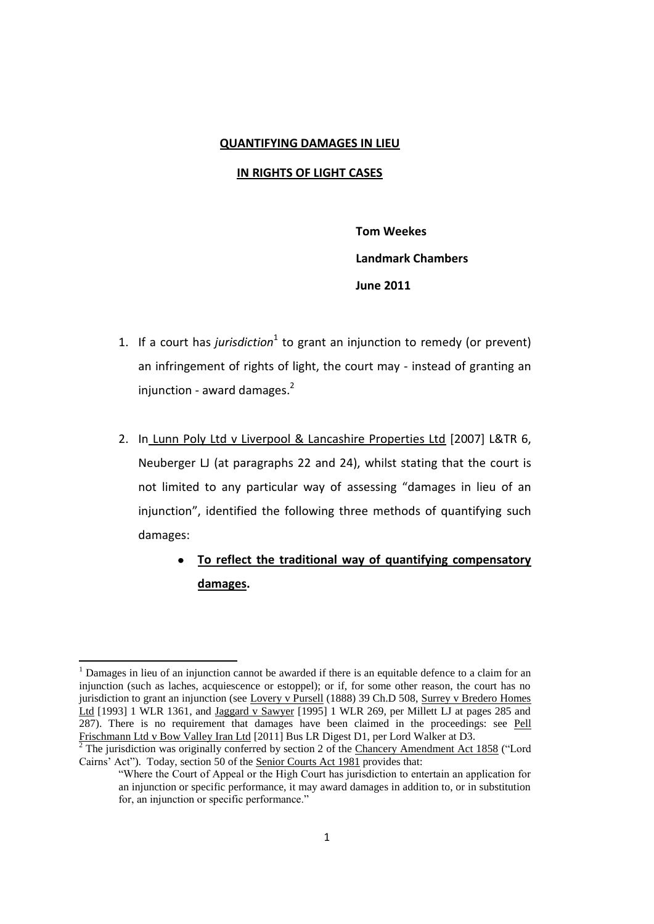#### **QUANTIFYING DAMAGES IN LIEU**

# **IN RIGHTS OF LIGHT CASES**

**Tom Weekes Landmark Chambers June 2011**

- 1. If a court has *jurisdiction*<sup>1</sup> to grant an injunction to remedy (or prevent) an infringement of rights of light, the court may - instead of granting an injunction - award damages.<sup>2</sup>
- 2. In Lunn Poly Ltd v Liverpool & Lancashire Properties Ltd [2007] L&TR 6, Neuberger LJ (at paragraphs 22 and 24), whilst stating that the court is not limited to any particular way of assessing "damages in lieu of an injunction", identified the following three methods of quantifying such damages:
	- $\bullet$ **To reflect the traditional way of quantifying compensatory damages.**

<sup>1</sup> Damages in lieu of an injunction cannot be awarded if there is an equitable defence to a claim for an injunction (such as laches, acquiescence or estoppel); or if, for some other reason, the court has no jurisdiction to grant an injunction (see Lovery v Pursell (1888) 39 Ch.D 508, Surrey v Bredero Homes Ltd [1993] 1 WLR 1361, and Jaggard v Sawyer [1995] 1 WLR 269, per Millett LJ at pages 285 and 287). There is no requirement that damages have been claimed in the proceedings: see Pell Frischmann Ltd v Bow Valley Iran Ltd [2011] Bus LR Digest D1, per Lord Walker at D3.

 $2$  The jurisdiction was originally conferred by section 2 of the Chancery Amendment Act 1858 ("Lord Cairns' Act"). Today, section 50 of the Senior Courts Act 1981 provides that:

<sup>&</sup>quot;Where the Court of Appeal or the High Court has jurisdiction to entertain an application for an injunction or specific performance, it may award damages in addition to, or in substitution for, an injunction or specific performance."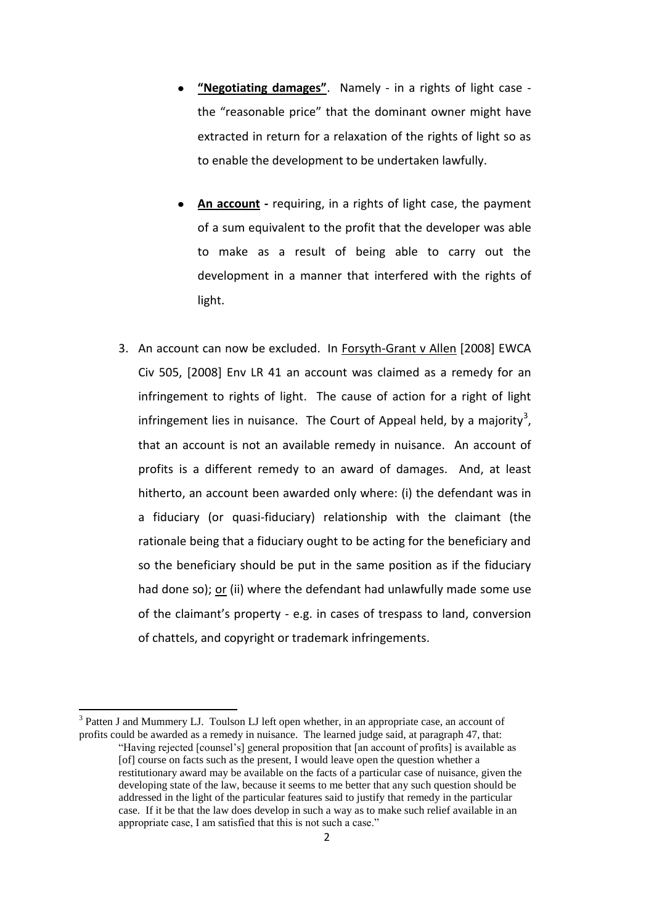- **"Negotiating damages"**. Namely in a rights of light case the "reasonable price" that the dominant owner might have extracted in return for a relaxation of the rights of light so as to enable the development to be undertaken lawfully.
- **An account -** requiring, in a rights of light case, the payment of a sum equivalent to the profit that the developer was able to make as a result of being able to carry out the development in a manner that interfered with the rights of light.
- 3. An account can now be excluded. In Forsyth-Grant v Allen [2008] EWCA Civ 505, [2008] Env LR 41 an account was claimed as a remedy for an infringement to rights of light. The cause of action for a right of light infringement lies in nuisance. The Court of Appeal held, by a majority<sup>3</sup>, that an account is not an available remedy in nuisance. An account of profits is a different remedy to an award of damages. And, at least hitherto, an account been awarded only where: (i) the defendant was in a fiduciary (or quasi-fiduciary) relationship with the claimant (the rationale being that a fiduciary ought to be acting for the beneficiary and so the beneficiary should be put in the same position as if the fiduciary had done so); or (ii) where the defendant had unlawfully made some use of the claimant's property - e.g. in cases of trespass to land, conversion of chattels, and copyright or trademark infringements.

<sup>3</sup> Patten J and Mummery LJ. Toulson LJ left open whether, in an appropriate case, an account of profits could be awarded as a remedy in nuisance. The learned judge said, at paragraph 47, that: "Having rejected [counsel's] general proposition that [an account of profits] is available as [of] course on facts such as the present, I would leave open the question whether a

restitutionary award may be available on the facts of a particular case of nuisance, given the developing state of the law, because it seems to me better that any such question should be addressed in the light of the particular features said to justify that remedy in the particular case. If it be that the law does develop in such a way as to make such relief available in an appropriate case, I am satisfied that this is not such a case."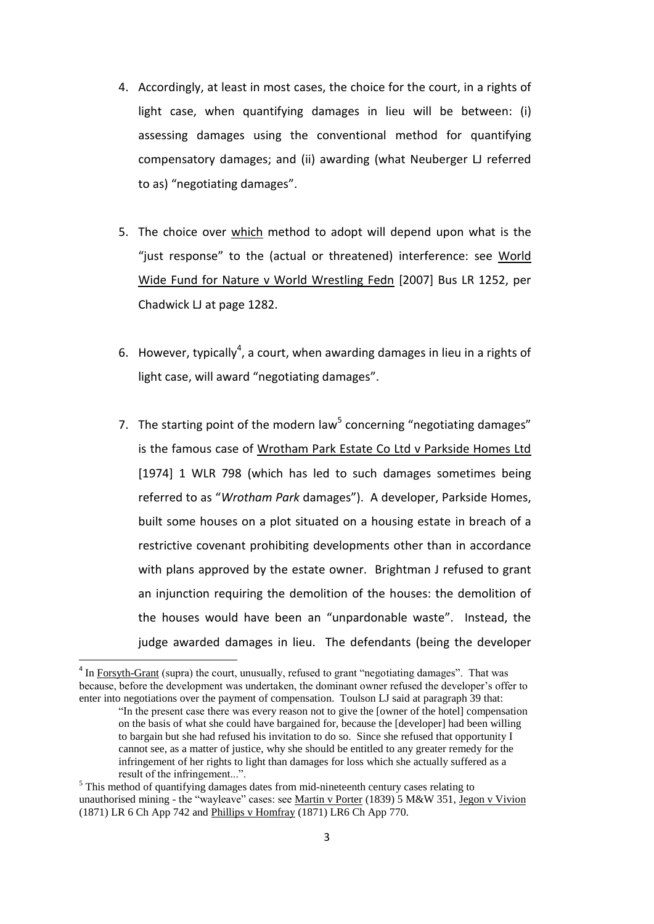- 4. Accordingly, at least in most cases, the choice for the court, in a rights of light case, when quantifying damages in lieu will be between: (i) assessing damages using the conventional method for quantifying compensatory damages; and (ii) awarding (what Neuberger LJ referred to as) "negotiating damages".
- 5. The choice over which method to adopt will depend upon what is the "just response" to the (actual or threatened) interference: see World Wide Fund for Nature v World Wrestling Fedn [2007] Bus LR 1252, per Chadwick LJ at page 1282.
- 6. However, typically<sup>4</sup>, a court, when awarding damages in lieu in a rights of light case, will award "negotiating damages".
- 7. The starting point of the modern law<sup>5</sup> concerning "negotiating damages" is the famous case of Wrotham Park Estate Co Ltd v Parkside Homes Ltd [1974] 1 WLR 798 (which has led to such damages sometimes being referred to as "*Wrotham Park* damages"). A developer, Parkside Homes, built some houses on a plot situated on a housing estate in breach of a restrictive covenant prohibiting developments other than in accordance with plans approved by the estate owner. Brightman J refused to grant an injunction requiring the demolition of the houses: the demolition of the houses would have been an "unpardonable waste". Instead, the judge awarded damages in lieu. The defendants (being the developer

 $4 \text{ In } \frac{\text{Forsyth-Grant}}{\text{Start}}$  (supra) the court, unusually, refused to grant "negotiating damages". That was because, before the development was undertaken, the dominant owner refused the developer's offer to enter into negotiations over the payment of compensation. Toulson LJ said at paragraph 39 that:

<sup>&</sup>quot;In the present case there was every reason not to give the [owner of the hotel] compensation on the basis of what she could have bargained for, because the [developer] had been willing to bargain but she had refused his invitation to do so. Since she refused that opportunity I cannot see, as a matter of justice, why she should be entitled to any greater remedy for the infringement of her rights to light than damages for loss which she actually suffered as a result of the infringement...".

<sup>&</sup>lt;sup>5</sup> This method of quantifying damages dates from mid-nineteenth century cases relating to unauthorised mining - the "wayleave" cases: see Martin v Porter (1839) 5 M&W 351, Jegon v Vivion (1871) LR 6 Ch App 742 and Phillips v Homfray (1871) LR6 Ch App 770.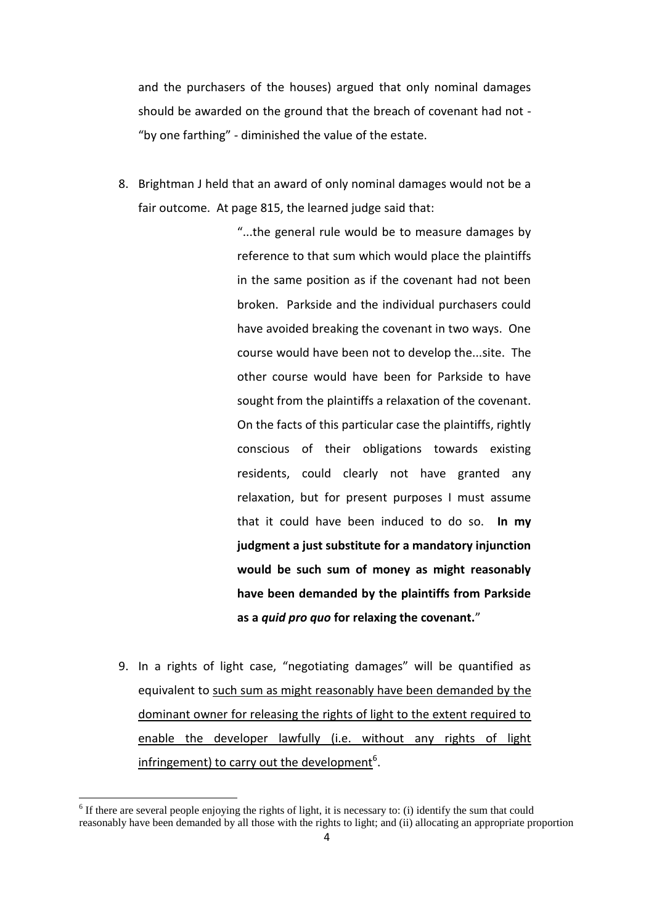and the purchasers of the houses) argued that only nominal damages should be awarded on the ground that the breach of covenant had not - "by one farthing" - diminished the value of the estate.

8. Brightman J held that an award of only nominal damages would not be a fair outcome. At page 815, the learned judge said that:

> "...the general rule would be to measure damages by reference to that sum which would place the plaintiffs in the same position as if the covenant had not been broken. Parkside and the individual purchasers could have avoided breaking the covenant in two ways. One course would have been not to develop the...site. The other course would have been for Parkside to have sought from the plaintiffs a relaxation of the covenant. On the facts of this particular case the plaintiffs, rightly conscious of their obligations towards existing residents, could clearly not have granted any relaxation, but for present purposes I must assume that it could have been induced to do so. **In my judgment a just substitute for a mandatory injunction would be such sum of money as might reasonably have been demanded by the plaintiffs from Parkside as a** *quid pro quo* **for relaxing the covenant.**"

9. In a rights of light case, "negotiating damages" will be quantified as equivalent to such sum as might reasonably have been demanded by the dominant owner for releasing the rights of light to the extent required to enable the developer lawfully (i.e. without any rights of light infringement) to carry out the development<sup>6</sup>.

 $6$  If there are several people enjoying the rights of light, it is necessary to: (i) identify the sum that could reasonably have been demanded by all those with the rights to light; and (ii) allocating an appropriate proportion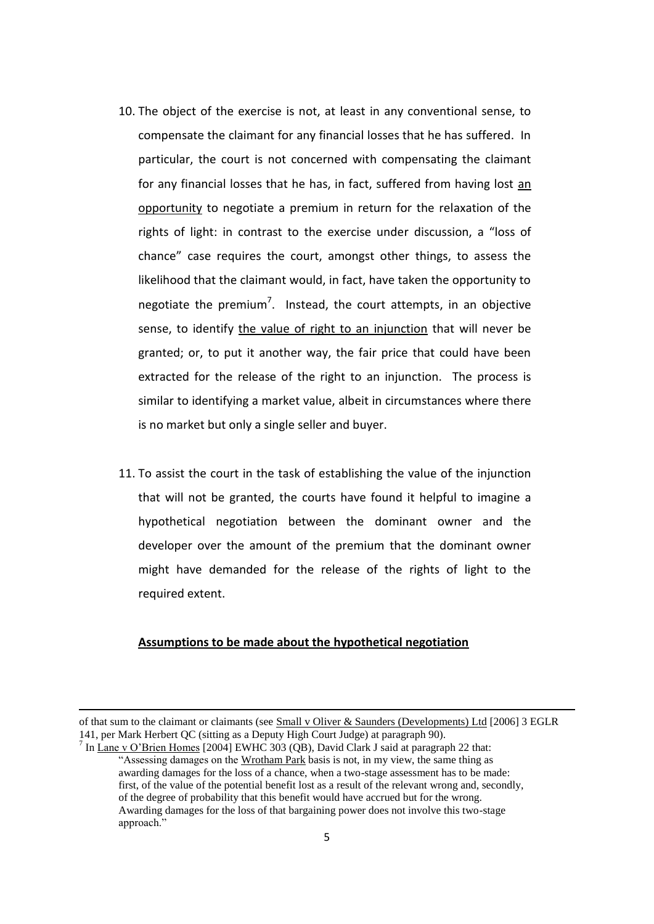- 10. The object of the exercise is not, at least in any conventional sense, to compensate the claimant for any financial losses that he has suffered. In particular, the court is not concerned with compensating the claimant for any financial losses that he has, in fact, suffered from having lost an opportunity to negotiate a premium in return for the relaxation of the rights of light: in contrast to the exercise under discussion, a "loss of chance" case requires the court, amongst other things, to assess the likelihood that the claimant would, in fact, have taken the opportunity to negotiate the premium<sup>7</sup>. Instead, the court attempts, in an objective sense, to identify the value of right to an injunction that will never be granted; or, to put it another way, the fair price that could have been extracted for the release of the right to an injunction. The process is similar to identifying a market value, albeit in circumstances where there is no market but only a single seller and buyer.
- 11. To assist the court in the task of establishing the value of the injunction that will not be granted, the courts have found it helpful to imagine a hypothetical negotiation between the dominant owner and the developer over the amount of the premium that the dominant owner might have demanded for the release of the rights of light to the required extent.

## **Assumptions to be made about the hypothetical negotiation**

of that sum to the claimant or claimants (see Small v Oliver & Saunders (Developments) Ltd [2006] 3 EGLR 141, per Mark Herbert QC (sitting as a Deputy High Court Judge) at paragraph 90).

<sup>&</sup>lt;sup>7</sup> In  $\frac{\text{Lane v O'Brien Homes}}{2004}$  EWHC 303 (QB), David Clark J said at paragraph 22 that: "Assessing damages on the Wrotham Park basis is not, in my view, the same thing as awarding damages for the loss of a chance, when a two-stage assessment has to be made: first, of the value of the potential benefit lost as a result of the relevant wrong and, secondly, of the degree of probability that this benefit would have accrued but for the wrong. Awarding damages for the loss of that bargaining power does not involve this two-stage approach."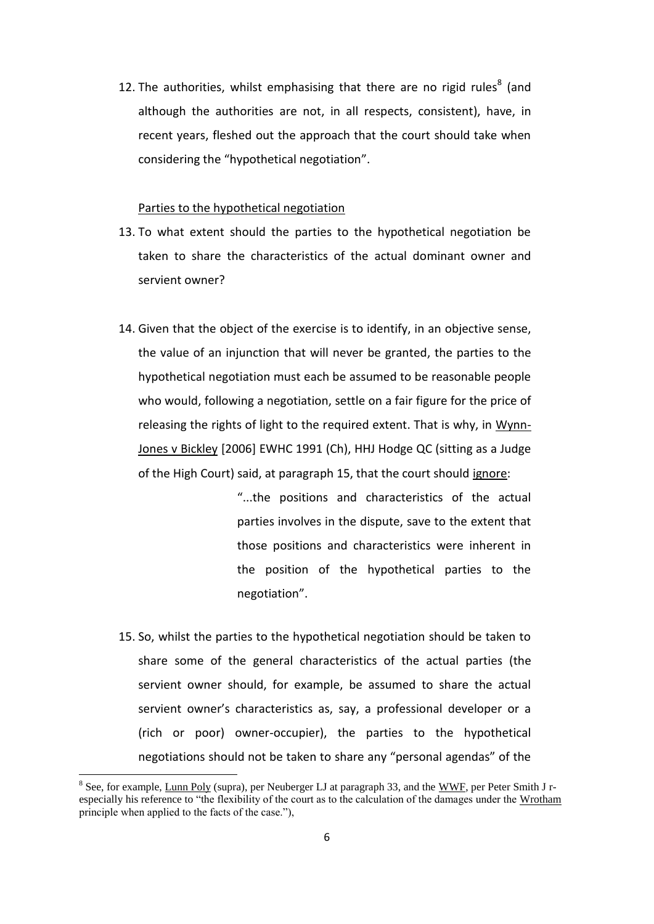12. The authorities, whilst emphasising that there are no rigid rules $^8$  (and although the authorities are not, in all respects, consistent), have, in recent years, fleshed out the approach that the court should take when considering the "hypothetical negotiation".

### Parties to the hypothetical negotiation

- 13. To what extent should the parties to the hypothetical negotiation be taken to share the characteristics of the actual dominant owner and servient owner?
- 14. Given that the object of the exercise is to identify, in an objective sense, the value of an injunction that will never be granted, the parties to the hypothetical negotiation must each be assumed to be reasonable people who would, following a negotiation, settle on a fair figure for the price of releasing the rights of light to the required extent. That is why, in Wynn-Jones v Bickley [2006] EWHC 1991 (Ch), HHJ Hodge QC (sitting as a Judge of the High Court) said, at paragraph 15, that the court should ignore:

"...the positions and characteristics of the actual parties involves in the dispute, save to the extent that those positions and characteristics were inherent in the position of the hypothetical parties to the negotiation".

15. So, whilst the parties to the hypothetical negotiation should be taken to share some of the general characteristics of the actual parties (the servient owner should, for example, be assumed to share the actual servient owner's characteristics as, say, a professional developer or a (rich or poor) owner-occupier), the parties to the hypothetical negotiations should not be taken to share any "personal agendas" of the

 $\overline{\phantom{a}}$ 

<sup>&</sup>lt;sup>8</sup> See, for example, Lunn Poly (supra), per Neuberger LJ at paragraph 33, and the WWF, per Peter Smith J respecially his reference to "the flexibility of the court as to the calculation of the damages under the Wrotham principle when applied to the facts of the case."),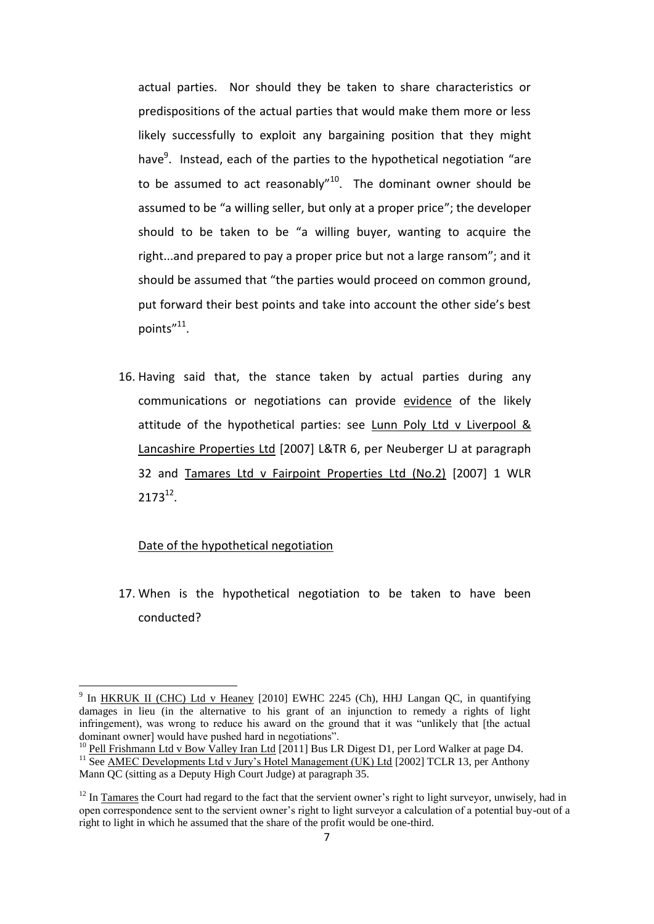actual parties. Nor should they be taken to share characteristics or predispositions of the actual parties that would make them more or less likely successfully to exploit any bargaining position that they might have<sup>9</sup>. Instead, each of the parties to the hypothetical negotiation "are to be assumed to act reasonably" $10$ . The dominant owner should be assumed to be "a willing seller, but only at a proper price"; the developer should to be taken to be "a willing buyer, wanting to acquire the right...and prepared to pay a proper price but not a large ransom"; and it should be assumed that "the parties would proceed on common ground, put forward their best points and take into account the other side's best points"<sup>11</sup>.

16. Having said that, the stance taken by actual parties during any communications or negotiations can provide evidence of the likely attitude of the hypothetical parties: see Lunn Poly Ltd v Liverpool & Lancashire Properties Ltd [2007] L&TR 6, per Neuberger LJ at paragraph 32 and Tamares Ltd v Fairpoint Properties Ltd (No.2) [2007] 1 WLR  $2173^{12}$ .

## Date of the hypothetical negotiation

17. When is the hypothetical negotiation to be taken to have been conducted?

<sup>&</sup>lt;sup>9</sup> In <u>HKRUK II (CHC) Ltd v Heaney</u> [2010] EWHC 2245 (Ch), HHJ Langan QC, in quantifying damages in lieu (in the alternative to his grant of an injunction to remedy a rights of light infringement), was wrong to reduce his award on the ground that it was "unlikely that [the actual dominant owner] would have pushed hard in negotiations".

<sup>&</sup>lt;sup>10</sup> Pell Frishmann Ltd v Bow Valley Iran Ltd [2011] Bus LR Digest D1, per Lord Walker at page D4. <sup>11</sup> See AMEC Developments Ltd v Jury's Hotel Management (UK) Ltd [2002] TCLR 13, per Anthony Mann QC (sitting as a Deputy High Court Judge) at paragraph 35.

 $12$  In Tamares the Court had regard to the fact that the servient owner's right to light surveyor, unwisely, had in open correspondence sent to the servient owner's right to light surveyor a calculation of a potential buy-out of a right to light in which he assumed that the share of the profit would be one-third.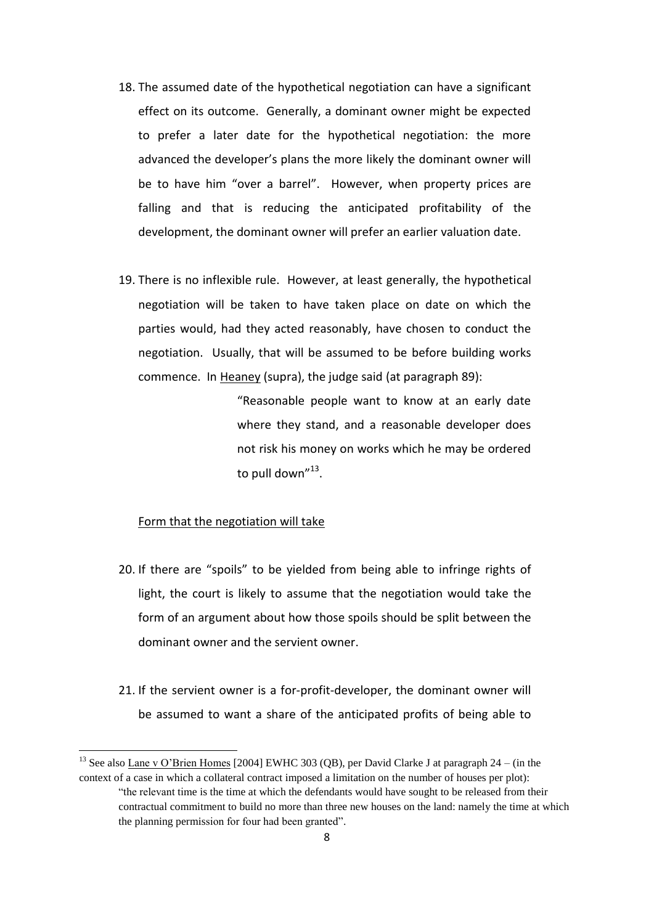- 18. The assumed date of the hypothetical negotiation can have a significant effect on its outcome. Generally, a dominant owner might be expected to prefer a later date for the hypothetical negotiation: the more advanced the developer's plans the more likely the dominant owner will be to have him "over a barrel". However, when property prices are falling and that is reducing the anticipated profitability of the development, the dominant owner will prefer an earlier valuation date.
- 19. There is no inflexible rule. However, at least generally, the hypothetical negotiation will be taken to have taken place on date on which the parties would, had they acted reasonably, have chosen to conduct the negotiation. Usually, that will be assumed to be before building works commence. In Heaney (supra), the judge said (at paragraph 89):

"Reasonable people want to know at an early date where they stand, and a reasonable developer does not risk his money on works which he may be ordered to pull down"<sup>13</sup>.

## Form that the negotiation will take

- 20. If there are "spoils" to be yielded from being able to infringe rights of light, the court is likely to assume that the negotiation would take the form of an argument about how those spoils should be split between the dominant owner and the servient owner.
- 21. If the servient owner is a for-profit-developer, the dominant owner will be assumed to want a share of the anticipated profits of being able to

<sup>&</sup>lt;sup>13</sup> See also Lane v O'Brien Homes [2004] EWHC 303 (OB), per David Clarke J at paragraph  $24 - (in the)$ context of a case in which a collateral contract imposed a limitation on the number of houses per plot): "the relevant time is the time at which the defendants would have sought to be released from their contractual commitment to build no more than three new houses on the land: namely the time at which the planning permission for four had been granted".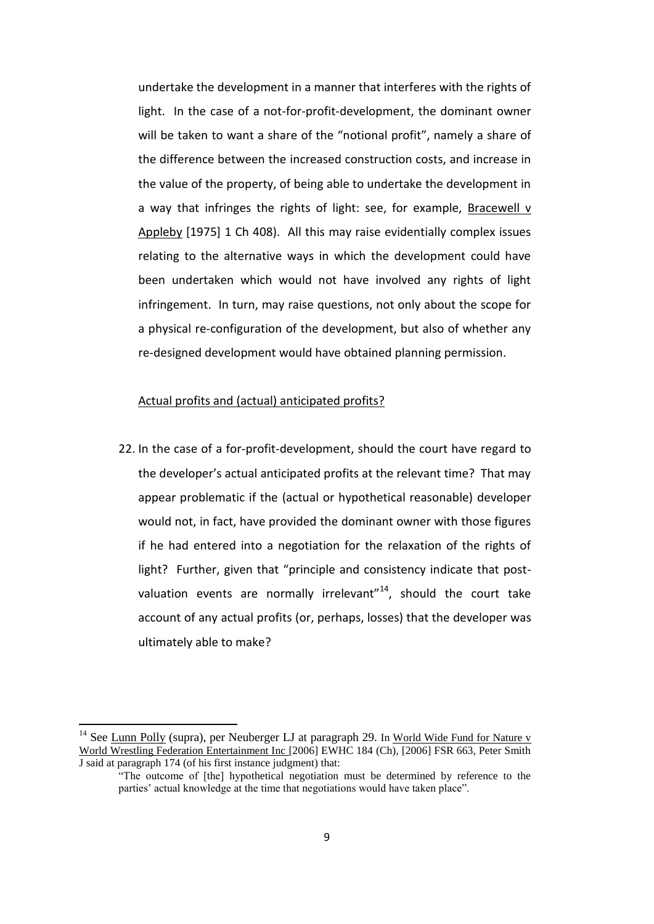undertake the development in a manner that interferes with the rights of light. In the case of a not-for-profit-development, the dominant owner will be taken to want a share of the "notional profit", namely a share of the difference between the increased construction costs, and increase in the value of the property, of being able to undertake the development in a way that infringes the rights of light: see, for example, Bracewell  $v$ Appleby [1975] 1 Ch 408). All this may raise evidentially complex issues relating to the alternative ways in which the development could have been undertaken which would not have involved any rights of light infringement. In turn, may raise questions, not only about the scope for a physical re-configuration of the development, but also of whether any re-designed development would have obtained planning permission.

### Actual profits and (actual) anticipated profits?

22. In the case of a for-profit-development, should the court have regard to the developer's actual anticipated profits at the relevant time? That may appear problematic if the (actual or hypothetical reasonable) developer would not, in fact, have provided the dominant owner with those figures if he had entered into a negotiation for the relaxation of the rights of light? Further, given that "principle and consistency indicate that postvaluation events are normally irrelevant"<sup>14</sup>, should the court take account of any actual profits (or, perhaps, losses) that the developer was ultimately able to make?

 $14$  See Lunn Polly (supra), per Neuberger LJ at paragraph 29. In World Wide Fund for Nature v World Wrestling Federation Entertainment Inc [2006] EWHC 184 (Ch), [2006] FSR 663, Peter Smith J said at paragraph 174 (of his first instance judgment) that:

<sup>&</sup>quot;The outcome of [the] hypothetical negotiation must be determined by reference to the parties' actual knowledge at the time that negotiations would have taken place".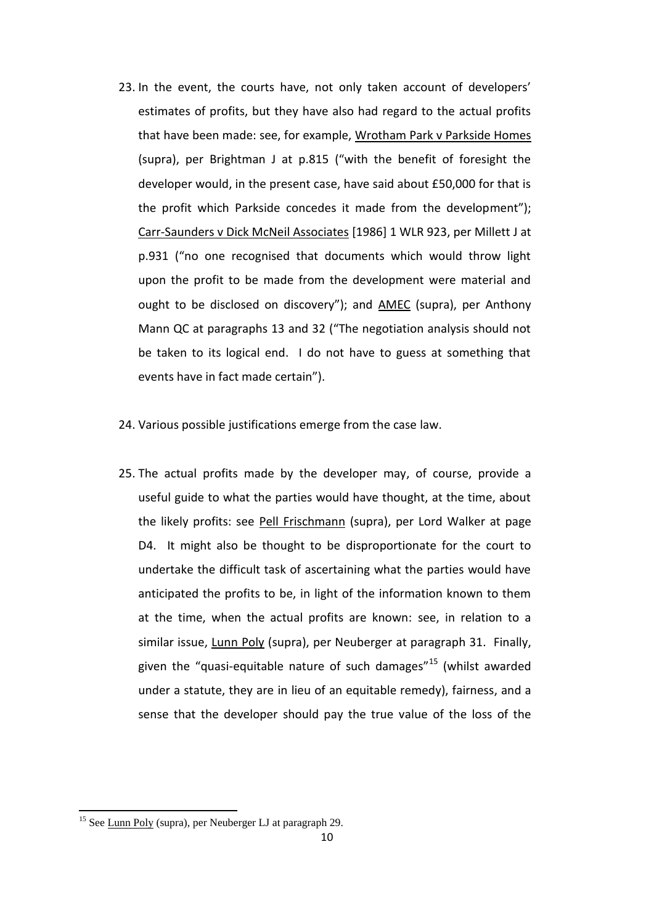- 23. In the event, the courts have, not only taken account of developers' estimates of profits, but they have also had regard to the actual profits that have been made: see, for example, Wrotham Park v Parkside Homes (supra), per Brightman J at p.815 ("with the benefit of foresight the developer would, in the present case, have said about £50,000 for that is the profit which Parkside concedes it made from the development"); Carr-Saunders v Dick McNeil Associates [1986] 1 WLR 923, per Millett J at p.931 ("no one recognised that documents which would throw light upon the profit to be made from the development were material and ought to be disclosed on discovery"); and AMEC (supra), per Anthony Mann QC at paragraphs 13 and 32 ("The negotiation analysis should not be taken to its logical end. I do not have to guess at something that events have in fact made certain").
- 24. Various possible justifications emerge from the case law.
- 25. The actual profits made by the developer may, of course, provide a useful guide to what the parties would have thought, at the time, about the likely profits: see Pell Frischmann (supra), per Lord Walker at page D4. It might also be thought to be disproportionate for the court to undertake the difficult task of ascertaining what the parties would have anticipated the profits to be, in light of the information known to them at the time, when the actual profits are known: see, in relation to a similar issue, Lunn Poly (supra), per Neuberger at paragraph 31. Finally, given the "quasi-equitable nature of such damages"<sup>15</sup> (whilst awarded under a statute, they are in lieu of an equitable remedy), fairness, and a sense that the developer should pay the true value of the loss of the

 $\overline{\phantom{a}}$ 

<sup>&</sup>lt;sup>15</sup> See Lunn Poly (supra), per Neuberger LJ at paragraph 29.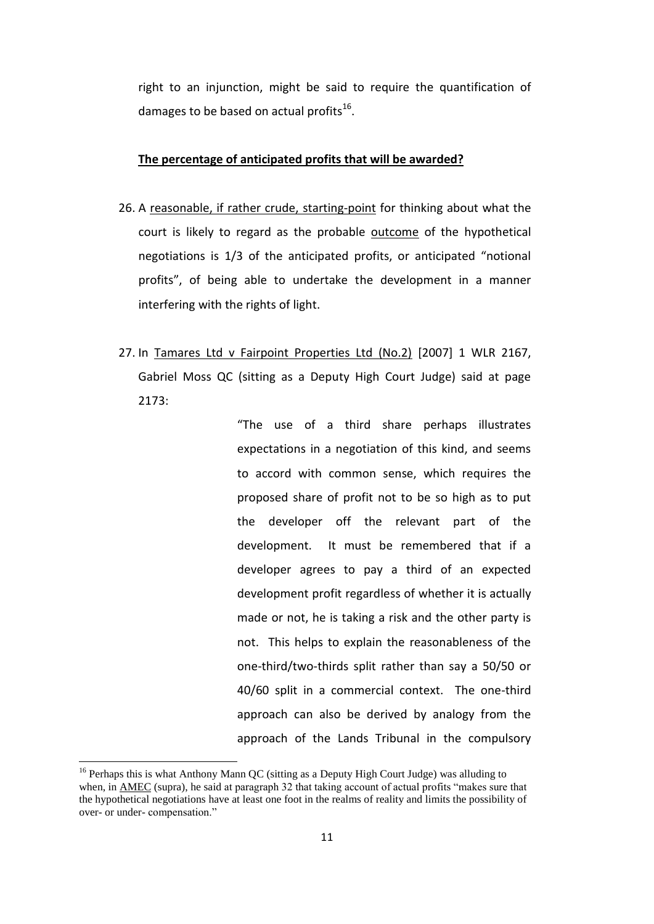right to an injunction, might be said to require the quantification of damages to be based on actual profits<sup>16</sup>.

#### **The percentage of anticipated profits that will be awarded?**

- 26. A reasonable, if rather crude, starting-point for thinking about what the court is likely to regard as the probable outcome of the hypothetical negotiations is 1/3 of the anticipated profits, or anticipated "notional profits", of being able to undertake the development in a manner interfering with the rights of light.
- 27. In Tamares Ltd v Fairpoint Properties Ltd (No.2) [2007] 1 WLR 2167, Gabriel Moss QC (sitting as a Deputy High Court Judge) said at page 2173:

"The use of a third share perhaps illustrates expectations in a negotiation of this kind, and seems to accord with common sense, which requires the proposed share of profit not to be so high as to put the developer off the relevant part of the development. It must be remembered that if a developer agrees to pay a third of an expected development profit regardless of whether it is actually made or not, he is taking a risk and the other party is not. This helps to explain the reasonableness of the one-third/two-thirds split rather than say a 50/50 or 40/60 split in a commercial context. The one-third approach can also be derived by analogy from the approach of the Lands Tribunal in the compulsory

 $16$  Perhaps this is what Anthony Mann QC (sitting as a Deputy High Court Judge) was alluding to when, in AMEC (supra), he said at paragraph 32 that taking account of actual profits "makes sure that the hypothetical negotiations have at least one foot in the realms of reality and limits the possibility of over- or under- compensation."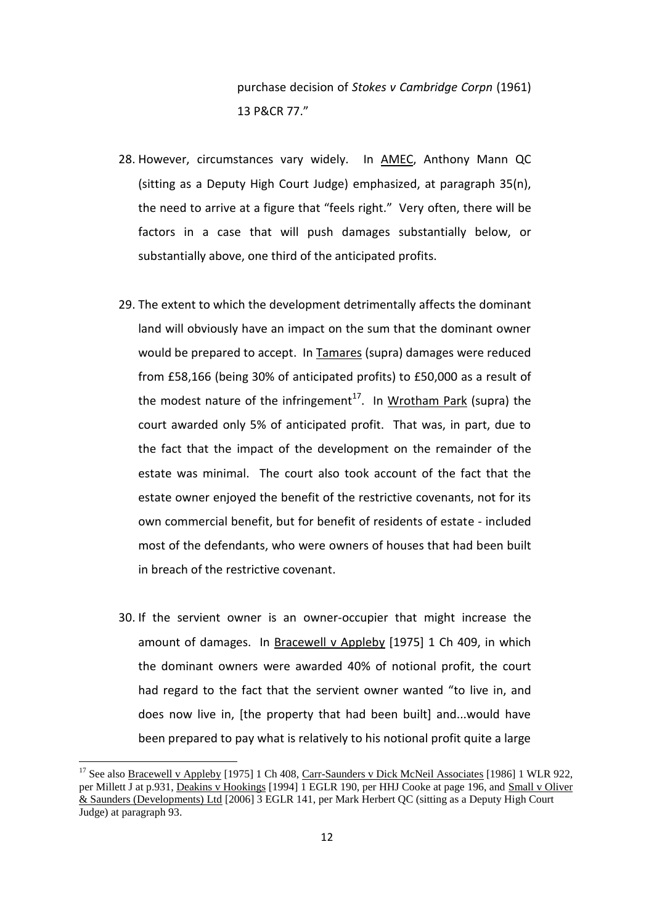purchase decision of *Stokes v Cambridge Corpn* (1961) 13 P&CR 77."

- 28. However, circumstances vary widely. In AMEC, Anthony Mann QC (sitting as a Deputy High Court Judge) emphasized, at paragraph 35(n), the need to arrive at a figure that "feels right." Very often, there will be factors in a case that will push damages substantially below, or substantially above, one third of the anticipated profits.
- 29. The extent to which the development detrimentally affects the dominant land will obviously have an impact on the sum that the dominant owner would be prepared to accept. In Tamares (supra) damages were reduced from £58,166 (being 30% of anticipated profits) to £50,000 as a result of the modest nature of the infringement<sup>17</sup>. In Wrotham Park (supra) the court awarded only 5% of anticipated profit. That was, in part, due to the fact that the impact of the development on the remainder of the estate was minimal. The court also took account of the fact that the estate owner enjoyed the benefit of the restrictive covenants, not for its own commercial benefit, but for benefit of residents of estate - included most of the defendants, who were owners of houses that had been built in breach of the restrictive covenant.
- 30. If the servient owner is an owner-occupier that might increase the amount of damages. In Bracewell v Appleby [1975] 1 Ch 409, in which the dominant owners were awarded 40% of notional profit, the court had regard to the fact that the servient owner wanted "to live in, and does now live in, [the property that had been built] and...would have been prepared to pay what is relatively to his notional profit quite a large

<sup>&</sup>lt;sup>17</sup> See also **Bracewell v Appleby** [1975] 1 Ch 408, Carr-Saunders v Dick McNeil Associates [1986] 1 WLR 922, per Millett J at p.931, Deakins v Hookings [1994] 1 EGLR 190, per HHJ Cooke at page 196, and Small v Oliver & Saunders (Developments) Ltd [2006] 3 EGLR 141, per Mark Herbert QC (sitting as a Deputy High Court Judge) at paragraph 93.